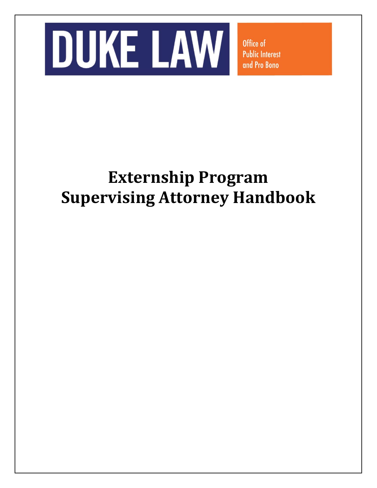

Office of **Public Interest** and Pro Bono

# **Externship Program Supervising Attorney Handbook**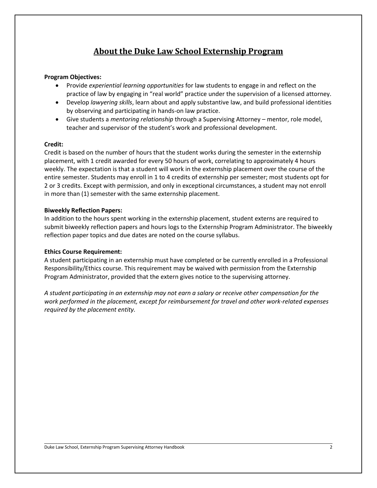# **About the Duke Law School Externship Program**

## **Program Objectives:**

- Provide *experiential learning opportunities* for law students to engage in and reflect on the practice of law by engaging in "real world" practice under the supervision of a licensed attorney.
- Develop *lawyering skills*, learn about and apply substantive law, and build professional identities by observing and participating in hands-on law practice.
- Give students a *mentoring relationship* through a Supervising Attorney mentor, role model, teacher and supervisor of the student's work and professional development.

## **Credit:**

Credit is based on the number of hours that the student works during the semester in the externship placement, with 1 credit awarded for every 50 hours of work, correlating to approximately 4 hours weekly. The expectation is that a student will work in the externship placement over the course of the entire semester. Students may enroll in 1 to 4 credits of externship per semester; most students opt for 2 or 3 credits. Except with permission, and only in exceptional circumstances, a student may not enroll in more than (1) semester with the same externship placement.

# **Biweekly Reflection Papers:**

In addition to the hours spent working in the externship placement, student externs are required to submit biweekly reflection papers and hours logs to the Externship Program Administrator. The biweekly reflection paper topics and due dates are noted on the course syllabus.

## **Ethics Course Requirement:**

A student participating in an externship must have completed or be currently enrolled in a Professional Responsibility/Ethics course. This requirement may be waived with permission from the Externship Program Administrator, provided that the extern gives notice to the supervising attorney.

*A student participating in an externship may not earn a salary or receive other compensation for the work performed in the placement, except for reimbursement for travel and other work-related expenses required by the placement entity.*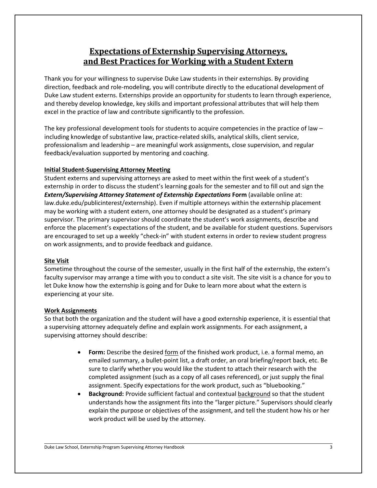# **Expectations of Externship Supervising Attorneys, and Best Practices for Working with a Student Extern**

Thank you for your willingness to supervise Duke Law students in their externships. By providing direction, feedback and role-modeling, you will contribute directly to the educational development of Duke Law student externs. Externships provide an opportunity for students to learn through experience, and thereby develop knowledge, key skills and important professional attributes that will help them excel in the practice of law and contribute significantly to the profession.

The key professional development tools for students to acquire competencies in the practice of law – including knowledge of substantive law, practice-related skills, analytical skills, client service, professionalism and leadership – are meaningful work assignments, close supervision, and regular feedback/evaluation supported by mentoring and coaching.

# **Initial Student-Supervising Attorney Meeting**

Student externs and supervising attorneys are asked to meet within the first week of a student's externship in order to discuss the student's learning goals for the semester and to fill out and sign the *Extern/Supervising Attorney Statement of Externship Expectations* **Form** (available online at: law.duke.edu/publicinterest/externship). Even if multiple attorneys within the externship placement may be working with a student extern, one attorney should be designated as a student's primary supervisor. The primary supervisor should coordinate the student's work assignments, describe and enforce the placement's expectations of the student, and be available for student questions. Supervisors are encouraged to set up a weekly "check-in" with student externs in order to review student progress on work assignments, and to provide feedback and guidance.

## **Site Visit**

Sometime throughout the course of the semester, usually in the first half of the externship, the extern's faculty supervisor may arrange a time with you to conduct a site visit. The site visit is a chance for you to let Duke know how the externship is going and for Duke to learn more about what the extern is experiencing at your site.

## **Work Assignments**

So that both the organization and the student will have a good externship experience, it is essential that a supervising attorney adequately define and explain work assignments. For each assignment, a supervising attorney should describe:

- **Form:** Describe the desired <u>form</u> of the finished work product, i.e. a formal memo, an emailed summary, a bullet-point list, a draft order, an oral briefing/report back, etc. Be sure to clarify whether you would like the student to attach their research with the completed assignment (such as a copy of all cases referenced), or just supply the final assignment. Specify expectations for the work product, such as "bluebooking."
- **Background:** Provide sufficient factual and contextual **background** so that the student understands how the assignment fits into the "larger picture." Supervisors should clearly explain the purpose or objectives of the assignment, and tell the student how his or her work product will be used by the attorney.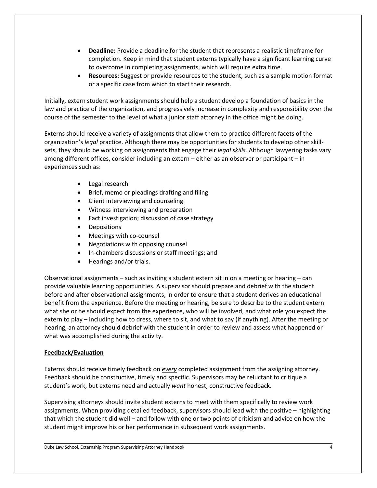- **Deadline:** Provide a deadline for the student that represents a realistic timeframe for completion. Keep in mind that student externs typically have a significant learning curve to overcome in completing assignments, which will require extra time.
- **Resources:** Suggest or provide resources to the student, such as a sample motion format or a specific case from which to start their research.

Initially, extern student work assignments should help a student develop a foundation of basics in the law and practice of the organization, and progressively increase in complexity and responsibility over the course of the semester to the level of what a junior staff attorney in the office might be doing.

Externs should receive a variety of assignments that allow them to practice different facets of the organization's *legal* practice. Although there may be opportunities for students to develop other skillsets, they should be working on assignments that engage their *legal skills.* Although lawyering tasks vary among different offices, consider including an extern – either as an observer or participant – in experiences such as:

- Legal research
- Brief, memo or pleadings drafting and filing
- Client interviewing and counseling
- Witness interviewing and preparation
- Fact investigation; discussion of case strategy
- Depositions
- Meetings with co-counsel
- Negotiations with opposing counsel
- In-chambers discussions or staff meetings; and
- Hearings and/or trials.

Observational assignments – such as inviting a student extern sit in on a meeting or hearing – can provide valuable learning opportunities. A supervisor should prepare and debrief with the student before and after observational assignments, in order to ensure that a student derives an educational benefit from the experience. Before the meeting or hearing, be sure to describe to the student extern what she or he should expect from the experience, who will be involved, and what role you expect the extern to play – including how to dress, where to sit, and what to say (if anything). After the meeting or hearing, an attorney should debrief with the student in order to review and assess what happened or what was accomplished during the activity.

# **Feedback/Evaluation**

Externs should receive timely feedback on *every* completed assignment from the assigning attorney. Feedback should be constructive, timely and specific. Supervisors may be reluctant to critique a student's work, but externs need and actually *want* honest, constructive feedback.

Supervising attorneys should invite student externs to meet with them specifically to review work assignments. When providing detailed feedback, supervisors should lead with the positive – highlighting that which the student did well – and follow with one or two points of criticism and advice on how the student might improve his or her performance in subsequent work assignments.